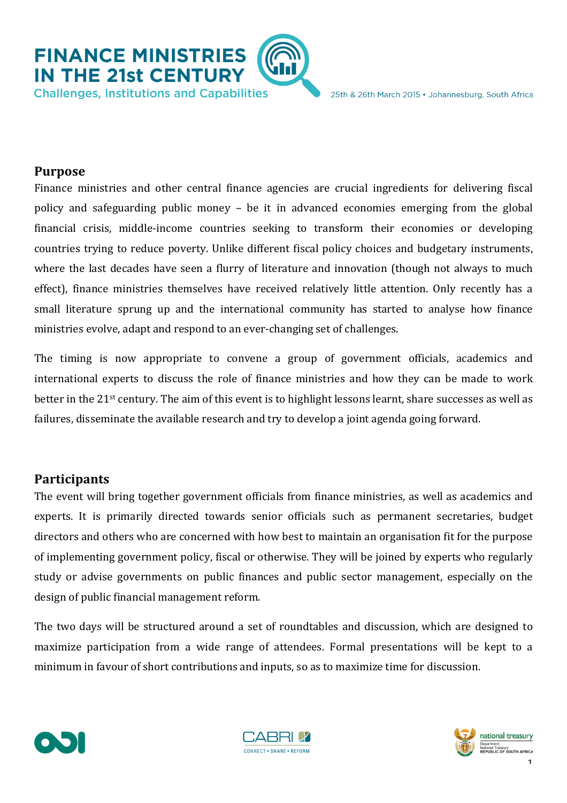

## **Purpose**

Finance ministries and other central finance agencies are crucial ingredients for delivering fiscal policy and safeguarding public money – be it in advanced economies emerging from the global financial crisis, middle-income countries seeking to transform their economies or developing countries trying to reduce poverty. Unlike different fiscal policy choices and budgetary instruments, where the last decades have seen a flurry of literature and innovation (though not always to much effect), finance ministries themselves have received relatively little attention. Only recently has a small literature sprung up and the international community has started to analyse how finance ministries evolve, adapt and respond to an ever-changing set of challenges.

The timing is now appropriate to convene a group of government officials, academics and international experts to discuss the role of finance ministries and how they can be made to work better in the  $21$ <sup>st</sup> century. The aim of this event is to highlight lessons learnt, share successes as well as failures, disseminate the available research and try to develop a joint agenda going forward.

## **Participants**

The event will bring together government officials from finance ministries, as well as academics and experts. It is primarily directed towards senior officials such as permanent secretaries, budget directors and others who are concerned with how best to maintain an organisation fit for the purpose of implementing government policy, fiscal or otherwise. They will be joined by experts who regularly study or advise governments on public finances and public sector management, especially on the design of public financial management reform.

The two days will be structured around a set of roundtables and discussion, which are designed to maximize participation from a wide range of attendees. Formal presentations will be kept to a minimum in favour of short contributions and inputs, so as to maximize time for discussion.





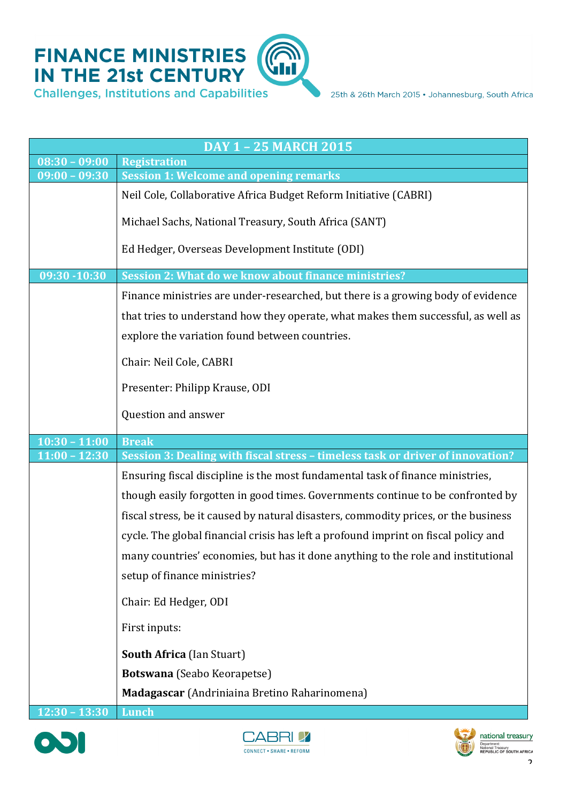

| DAY 1 - 25 MARCH 2015 |                                                                                     |  |
|-----------------------|-------------------------------------------------------------------------------------|--|
| $08:30 - 09:00$       | <b>Registration</b>                                                                 |  |
| $09:00 - 09:30$       | <b>Session 1: Welcome and opening remarks</b>                                       |  |
|                       | Neil Cole, Collaborative Africa Budget Reform Initiative (CABRI)                    |  |
|                       | Michael Sachs, National Treasury, South Africa (SANT)                               |  |
|                       | Ed Hedger, Overseas Development Institute (ODI)                                     |  |
| 09:30 -10:30          | Session 2: What do we know about finance ministries?                                |  |
|                       | Finance ministries are under-researched, but there is a growing body of evidence    |  |
|                       | that tries to understand how they operate, what makes them successful, as well as   |  |
|                       | explore the variation found between countries.                                      |  |
|                       | Chair: Neil Cole, CABRI                                                             |  |
|                       | Presenter: Philipp Krause, ODI                                                      |  |
|                       | Question and answer                                                                 |  |
| $10:30 - 11:00$       | <b>Break</b>                                                                        |  |
|                       |                                                                                     |  |
| $11:00 - 12:30$       | Session 3: Dealing with fiscal stress - timeless task or driver of innovation?      |  |
|                       | Ensuring fiscal discipline is the most fundamental task of finance ministries,      |  |
|                       |                                                                                     |  |
|                       | though easily forgotten in good times. Governments continue to be confronted by     |  |
|                       | fiscal stress, be it caused by natural disasters, commodity prices, or the business |  |
|                       | cycle. The global financial crisis has left a profound imprint on fiscal policy and |  |
|                       | many countries' economies, but has it done anything to the role and institutional   |  |
|                       | setup of finance ministries?                                                        |  |
|                       | Chair: Ed Hedger, ODI                                                               |  |
|                       | First inputs:                                                                       |  |
|                       | <b>South Africa (lan Stuart)</b>                                                    |  |
|                       | Botswana (Seabo Keorapetse)                                                         |  |
|                       | Madagascar (Andriniaina Bretino Raharinomena)                                       |  |





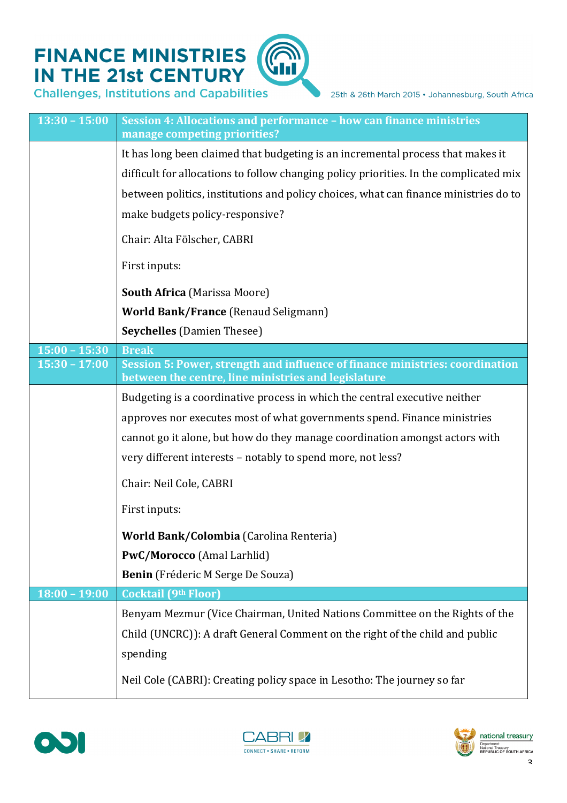## **FINANCE MINISTRIES<br>IN THE 21st CENTURY**

**Challenges, Institutions and Capabilities** 

| $13:30 - 15:00$ | Session 4: Allocations and performance - how can finance ministries<br>manage competing priorities?                                 |
|-----------------|-------------------------------------------------------------------------------------------------------------------------------------|
|                 | It has long been claimed that budgeting is an incremental process that makes it                                                     |
|                 | difficult for allocations to follow changing policy priorities. In the complicated mix                                              |
|                 | between politics, institutions and policy choices, what can finance ministries do to                                                |
|                 | make budgets policy-responsive?                                                                                                     |
|                 | Chair: Alta Fölscher, CABRI                                                                                                         |
|                 | First inputs:                                                                                                                       |
|                 | <b>South Africa</b> (Marissa Moore)                                                                                                 |
|                 | <b>World Bank/France (Renaud Seligmann)</b>                                                                                         |
|                 | <b>Seychelles</b> (Damien Thesee)                                                                                                   |
| $15:00 - 15:30$ | <b>Break</b>                                                                                                                        |
| $15:30 - 17:00$ | Session 5: Power, strength and influence of finance ministries: coordination<br>between the centre, line ministries and legislature |
|                 | Budgeting is a coordinative process in which the central executive neither                                                          |
|                 | approves nor executes most of what governments spend. Finance ministries                                                            |
|                 | cannot go it alone, but how do they manage coordination amongst actors with                                                         |
|                 | very different interests - notably to spend more, not less?                                                                         |
|                 | Chair: Neil Cole, CABRI                                                                                                             |
|                 | First inputs:                                                                                                                       |
|                 | <b>World Bank/Colombia</b> (Carolina Renteria)                                                                                      |
|                 | PwC/Morocco (Amal Larhlid)                                                                                                          |
|                 | Benin (Fréderic M Serge De Souza)                                                                                                   |
| $18:00 - 19:00$ | <b>Cocktail (9th Floor)</b>                                                                                                         |
|                 | Benyam Mezmur (Vice Chairman, United Nations Committee on the Rights of the                                                         |
|                 | Child (UNCRC)): A draft General Comment on the right of the child and public                                                        |
|                 | spending                                                                                                                            |
|                 | Neil Cole (CABRI): Creating policy space in Lesotho: The journey so far                                                             |





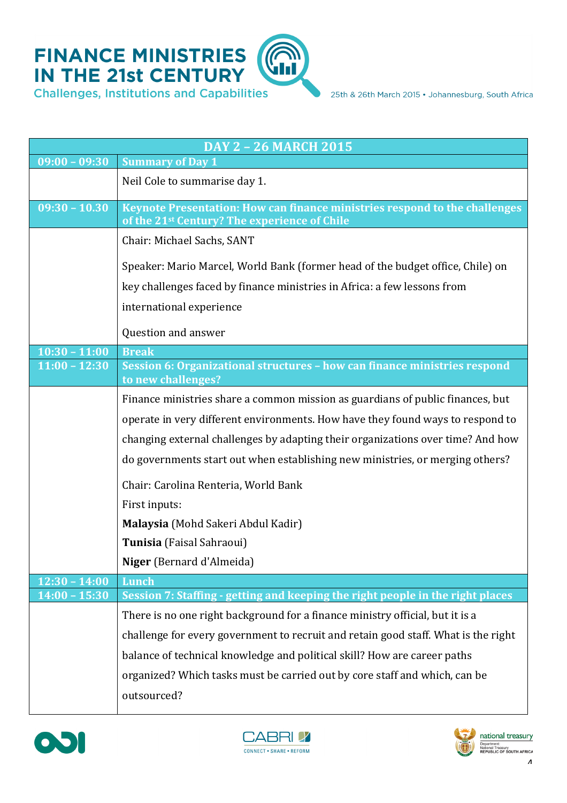

| <b>DAY 2 - 26 MARCH 2015</b> |                                                                                                                                        |  |
|------------------------------|----------------------------------------------------------------------------------------------------------------------------------------|--|
| $09:00 - 09:30$              | <b>Summary of Day 1</b>                                                                                                                |  |
|                              | Neil Cole to summarise day 1.                                                                                                          |  |
| $09:30 - 10.30$              | Keynote Presentation: How can finance ministries respond to the challenges<br>of the 21 <sup>st</sup> Century? The experience of Chile |  |
|                              | Chair: Michael Sachs, SANT                                                                                                             |  |
|                              | Speaker: Mario Marcel, World Bank (former head of the budget office, Chile) on                                                         |  |
|                              | key challenges faced by finance ministries in Africa: a few lessons from                                                               |  |
|                              | international experience                                                                                                               |  |
|                              | Question and answer                                                                                                                    |  |
| $10:30 - 11:00$              | <b>Break</b>                                                                                                                           |  |
| $11:00 - 12:30$              | Session 6: Organizational structures - how can finance ministries respond<br>to new challenges?                                        |  |
|                              | Finance ministries share a common mission as guardians of public finances, but                                                         |  |
|                              | operate in very different environments. How have they found ways to respond to                                                         |  |
|                              | changing external challenges by adapting their organizations over time? And how                                                        |  |
|                              | do governments start out when establishing new ministries, or merging others?                                                          |  |
|                              | Chair: Carolina Renteria, World Bank                                                                                                   |  |
|                              | First inputs:                                                                                                                          |  |
|                              | Malaysia (Mohd Sakeri Abdul Kadir)                                                                                                     |  |
|                              | Tunisia (Faisal Sahraoui)                                                                                                              |  |
|                              | Niger (Bernard d'Almeida)                                                                                                              |  |
| $12:30 - 14:00$              | Lunch                                                                                                                                  |  |
| $14:00 - 15:30$              | Session 7: Staffing - getting and keeping the right people in the right places                                                         |  |
|                              | There is no one right background for a finance ministry official, but it is a                                                          |  |
|                              | challenge for every government to recruit and retain good staff. What is the right                                                     |  |
|                              | balance of technical knowledge and political skill? How are career paths                                                               |  |
|                              | organized? Which tasks must be carried out by core staff and which, can be                                                             |  |
|                              | outsourced?                                                                                                                            |  |